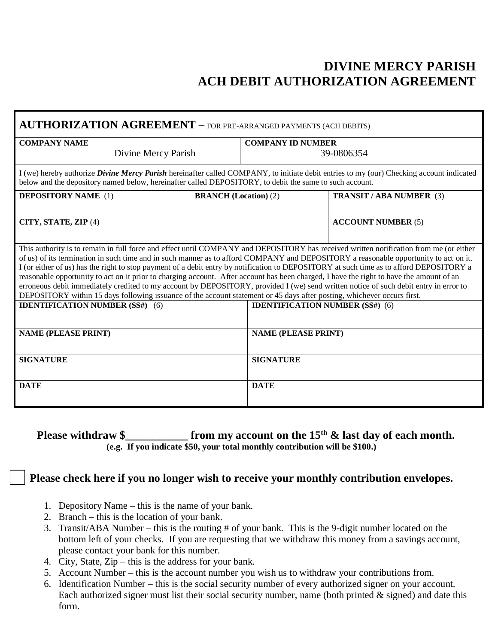## **DIVINE MERCY PARISH ACH DEBIT AUTHORIZATION AGREEMENT**

| <b>AUTHORIZATION AGREEMENT</b> - FOR PRE-ARRANGED PAYMENTS (ACH DEBITS)                                                                                                                                                                                                                                                                                                                                                                                                                                                                                                                                                                                                                                                                                                                                                                   |                                        |                                 |
|-------------------------------------------------------------------------------------------------------------------------------------------------------------------------------------------------------------------------------------------------------------------------------------------------------------------------------------------------------------------------------------------------------------------------------------------------------------------------------------------------------------------------------------------------------------------------------------------------------------------------------------------------------------------------------------------------------------------------------------------------------------------------------------------------------------------------------------------|----------------------------------------|---------------------------------|
| <b>COMPANY NAME</b>                                                                                                                                                                                                                                                                                                                                                                                                                                                                                                                                                                                                                                                                                                                                                                                                                       | <b>COMPANY ID NUMBER</b>               |                                 |
| Divine Mercy Parish                                                                                                                                                                                                                                                                                                                                                                                                                                                                                                                                                                                                                                                                                                                                                                                                                       | 39-0806354                             |                                 |
| I (we) hereby authorize <i>Divine Mercy Parish</i> hereinafter called COMPANY, to initiate debit entries to my (our) Checking account indicated<br>below and the depository named below, hereinafter called DEPOSITORY, to debit the same to such account.                                                                                                                                                                                                                                                                                                                                                                                                                                                                                                                                                                                |                                        |                                 |
| <b>DEPOSITORY NAME</b> (1)<br><b>BRANCH</b> (Location) (2)                                                                                                                                                                                                                                                                                                                                                                                                                                                                                                                                                                                                                                                                                                                                                                                |                                        | <b>TRANSIT / ABA NUMBER (3)</b> |
| CITY, STATE, ZIP (4)                                                                                                                                                                                                                                                                                                                                                                                                                                                                                                                                                                                                                                                                                                                                                                                                                      |                                        | <b>ACCOUNT NUMBER (5)</b>       |
| This authority is to remain in full force and effect until COMPANY and DEPOSITORY has received written notification from me (or either<br>of us) of its termination in such time and in such manner as to afford COMPANY and DEPOSITORY a reasonable opportunity to act on it.<br>I (or either of us) has the right to stop payment of a debit entry by notification to DEPOSITORY at such time as to afford DEPOSITORY a<br>reasonable opportunity to act on it prior to charging account. After account has been charged, I have the right to have the amount of an<br>erroneous debit immediately credited to my account by DEPOSITORY, provided I (we) send written notice of such debit entry in error to<br>DEPOSITORY within 15 days following issuance of the account statement or 45 days after posting, whichever occurs first. |                                        |                                 |
| <b>IDENTIFICATION NUMBER (SS#)</b> (6)                                                                                                                                                                                                                                                                                                                                                                                                                                                                                                                                                                                                                                                                                                                                                                                                    | <b>IDENTIFICATION NUMBER (SS#) (6)</b> |                                 |
| <b>NAME (PLEASE PRINT)</b>                                                                                                                                                                                                                                                                                                                                                                                                                                                                                                                                                                                                                                                                                                                                                                                                                | <b>NAME (PLEASE PRINT)</b>             |                                 |
| <b>SIGNATURE</b>                                                                                                                                                                                                                                                                                                                                                                                                                                                                                                                                                                                                                                                                                                                                                                                                                          | <b>SIGNATURE</b>                       |                                 |
| <b>DATE</b>                                                                                                                                                                                                                                                                                                                                                                                                                                                                                                                                                                                                                                                                                                                                                                                                                               | <b>DATE</b>                            |                                 |

## **Please withdraw \$\_\_\_\_\_\_\_\_\_\_\_ from my account on the 15th & last day of each month. (e.g. If you indicate \$50, your total monthly contribution will be \$100.)**

## **Please check here if you no longer wish to receive your monthly contribution envelopes.**

- 1. Depository Name this is the name of your bank.
- 2. Branch this is the location of your bank.
- 3. Transit/ABA Number this is the routing # of your bank. This is the 9-digit number located on the bottom left of your checks. If you are requesting that we withdraw this money from a savings account, please contact your bank for this number.
- 4. City, State, Zip this is the address for your bank.
- 5. Account Number this is the account number you wish us to withdraw your contributions from.
- 6. Identification Number this is the social security number of every authorized signer on your account. Each authorized signer must list their social security number, name (both printed  $\&$  signed) and date this form.